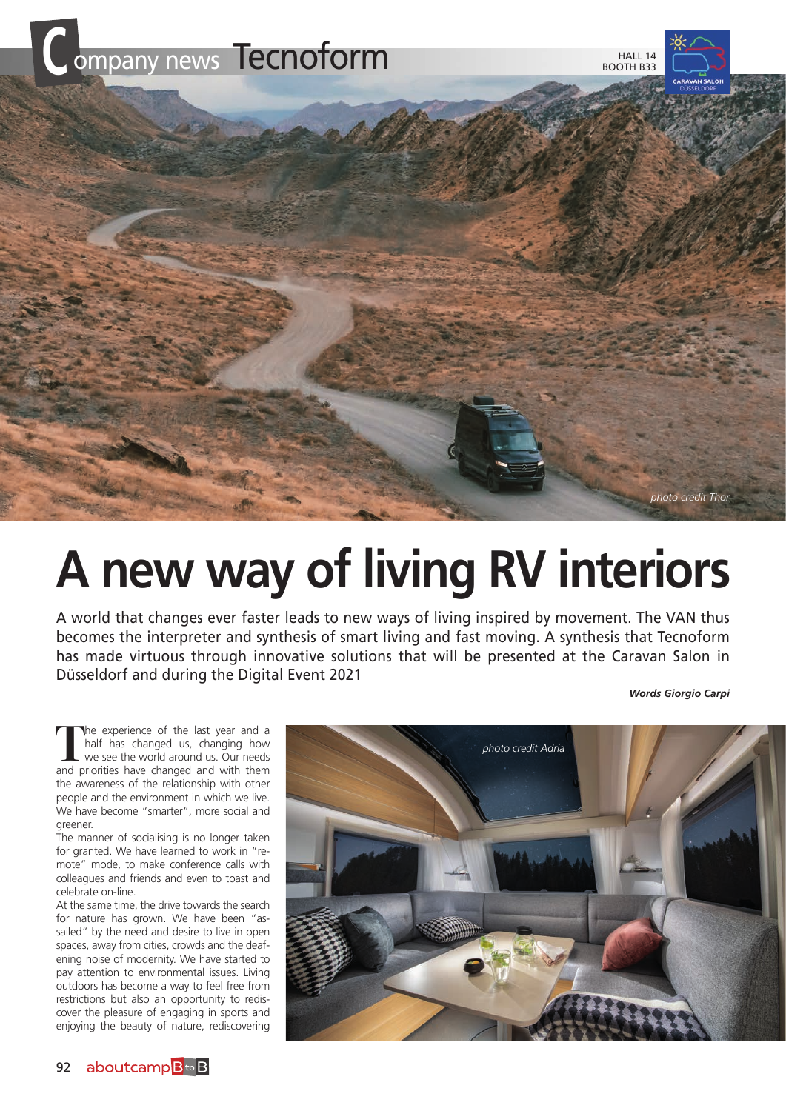

## **A new way of living RV interiors**

A world that changes ever faster leads to new ways of living inspired by movement. The VAN thus becomes the interpreter and synthesis of smart living and fast moving. A synthesis that Tecnoform has made virtuous through innovative solutions that will be presented at the Caravan Salon in Düsseldorf and during the Digital Event 2021

*Words Giorgio Carpi*

The experience of the last year and a half has changed us, changing how we see the world around us. Our needs and priorities have changed and with them half has changed us, changing how and priorities have changed and with them the awareness of the relationship with other people and the environment in which we live. We have become "smarter", more social and greener.

The manner of socialising is no longer taken for granted. We have learned to work in "remote" mode, to make conference calls with colleagues and friends and even to toast and celebrate on-line.

At the same time, the drive towards the search for nature has grown. We have been "assailed" by the need and desire to live in open spaces, away from cities, crowds and the deafening noise of modernity. We have started to pay attention to environmental issues. Living outdoors has become a way to feel free from restrictions but also an opportunity to rediscover the pleasure of engaging in sports and enjoying the beauty of nature, rediscovering